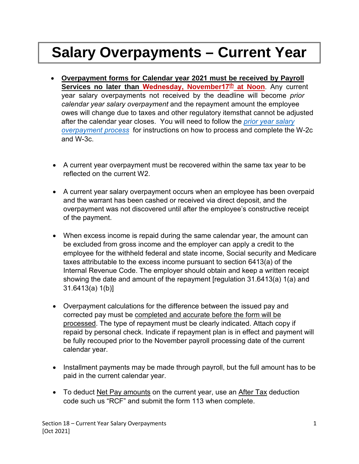## **Salary Overpayments – Current Year**

- **Overpayment forms for Calendar year 2021 must be received by Payroll Services no later than Wednesday, November17 th at Noon**. Any current year salary overpayments not received by the deadline will become *prior calendar year salary overpayment* and the repayment amount the employee owes will change due to taxes and other regulatory itemsthat cannot be adjusted after the calendar year closes. You will need to follow the *prior year salary [overpayment](https://www.sdcoe.net/business-services/payroll-services/Documents/section24-prior_year_salary_overpayments.pdf) process* for instructions on how to process and [complete the W](https://www.sdcoe.net/business-services/payroll-services/Documents/section24-prior_year_salary_overpayments.pdf)-2c and W-3c.
- A current year overpayment must be recovered within the same tax year to be reflected on the current W2.
- A current year salary overpayment occurs when an employee has been overpaid and the warrant has been cashed or received via direct deposit, and the overpayment was not discovered until after the employee's constructive receipt of the payment.
- When excess income is repaid during the same calendar year, the amount can be excluded from gross income and the employer can apply a credit to the employee for the withheld federal and state income, Social security and Medicare taxes attributable to the excess income pursuant to section 6413(a) of the Internal Revenue Code. The employer should obtain and keep a written receipt showing the date and amount of the repayment [regulation 31.6413(a) 1(a) and 31.6413(a) 1(b)]
- Overpayment calculations for the difference between the issued pay and corrected pay must be completed and accurate before the form will be processed. The type of repayment must be clearly indicated. Attach copy if repaid by personal check. Indicate if repayment plan is in effect and payment will be fully recouped prior to the November payroll processing date of the current calendar year.
- Installment payments may be made through payroll, but the full amount has to be paid in the current calendar year.
- To deduct Net Pay amounts on the current year, use an After Tax deduction code such us "RCF" and submit the form 113 when complete.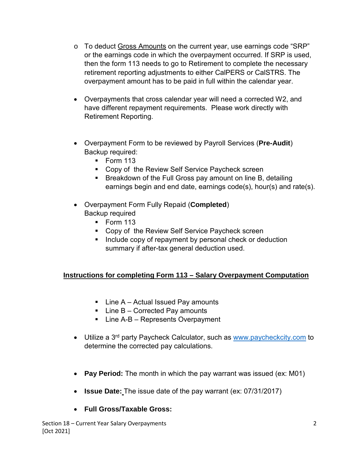- o To deduct Gross Amounts on the current year, use earnings code "SRP" or the earnings code in which the overpayment occurred. If SRP is used, then the form 113 needs to go to Retirement to complete the necessary retirement reporting adjustments to either CalPERS or CalSTRS. The overpayment amount has to be paid in full within the calendar year.
- Overpayments that cross calendar year will need a corrected W2, and have different repayment requirements. Please work directly with Retirement Reporting.
- Overpayment Form to be reviewed by Payroll Services (**Pre-Audit**) Backup required:
	- Form 113
	- Copy of the Review Self Service Paycheck screen
	- **Breakdown of the Full Gross pay amount on line B, detailing** earnings begin and end date, earnings code(s), hour(s) and rate(s).
- Overpayment Form Fully Repaid (**Completed**) Backup required
	- $\blacksquare$  Form 113
	- Copy of the Review Self Service Paycheck screen
	- **Include copy of repayment by personal check or deduction** summary if after-tax general deduction used.

## **Instructions for completing Form 113 – Salary Overpayment Computation**

- $\blacksquare$  Line A Actual Issued Pay amounts
- $\blacksquare$  Line B Corrected Pay amounts
- Line A-B Represents Overpayment
- Utilize a 3<sup>rd</sup> party Paycheck Calculator, such as [www.paycheckcity.com](http://www.paycheckcity.com/) to determine the corrected pay calculations.
- **Pay Period:** The month in which the pay warrant was issued (ex: M01)
- **Issue Date:** The issue date of the pay warrant (ex: 07/31/2017)

## • **Full Gross/Taxable Gross:**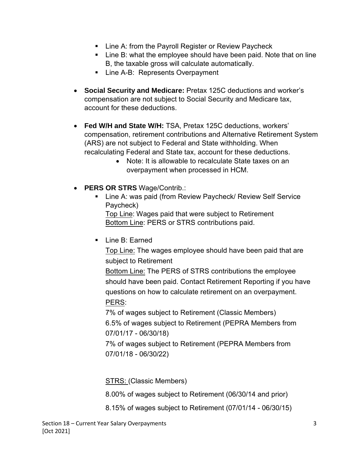- **EXECT:** Line A: from the Payroll Register or Review Paycheck
- **EXECT:** Line B: what the employee should have been paid. Note that on line B, the taxable gross will calculate automatically.
- **Line A-B: Represents Overpayment**
- **Social Security and Medicare:** Pretax 125C deductions and worker's compensation are not subject to Social Security and Medicare tax, account for these deductions.
- **Fed W/H and State W/H:** TSA, Pretax 125C deductions, workers' compensation, retirement contributions and Alternative Retirement System (ARS) are not subject to Federal and State withholding. When recalculating Federal and State tax, account for these deductions.
	- Note: It is allowable to recalculate State taxes on an overpayment when processed in HCM.
- **PERS OR STRS** Wage/Contrib.:
	- Line A: was paid (from Review Paycheck/ Review Self Service Paycheck)

Top Line: Wages paid that were subject to Retirement Bottom Line: PERS or STRS contributions paid.

**Line B: Earned** 

Top Line: The wages employee should have been paid that are subject to Retirement

Bottom Line: The PERS of STRS contributions the employee should have been paid. Contact Retirement Reporting if you have questions on how to calculate retirement on an overpayment. PERS:

7% of wages subject to Retirement (Classic Members) 6.5% of wages subject to Retirement (PEPRA Members from 07/01/17 - 06/30/18)

7% of wages subject to Retirement (PEPRA Members from 07/01/18 - 06/30/22)

STRS: (Classic Members)

8.00% of wages subject to Retirement (06/30/14 and prior)

8.15% of wages subject to Retirement (07/01/14 - 06/30/15)